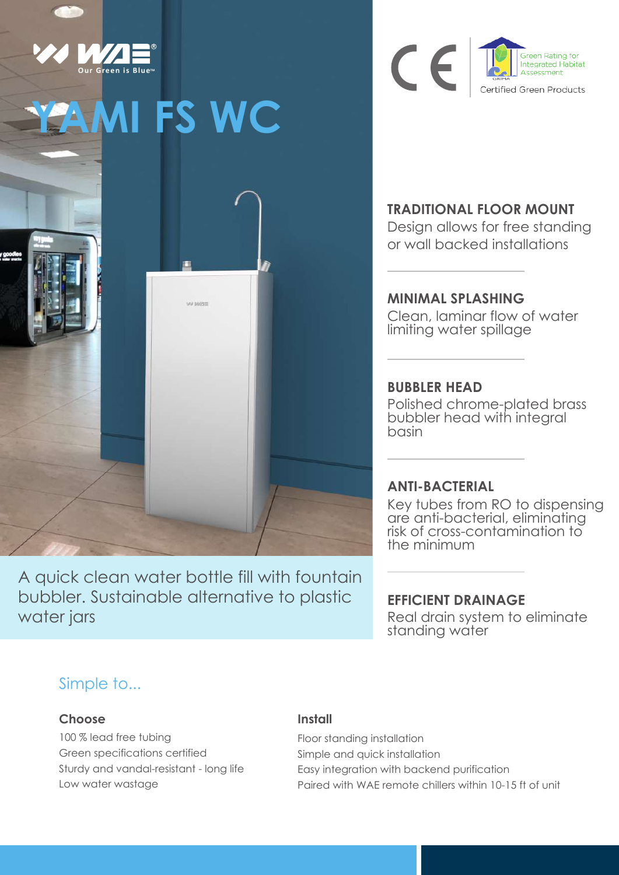

A quick clean water bottle fill with fountain bubbler. Sustainable alternative to plastic water jars



### **TRADITIONAL FLOOR MOUNT**

Design allows for free standing or wall backed installations

# **MINIMAL SPLASHING**

Clean, laminar flow of water limiting water spillage

#### **BUBBLER HEAD**

Polished chrome-plated brass bubbler head with integral basin

### **ANTI-BACTERIAL**

Key tubes from RO to dispensing are anti-bacterial, eliminating risk of cross-contamination to the minimum

### **EFFICIENT DRAINAGE**

Real drain system to eliminate standing water

### Simple to...

#### **Choose**

100 % lead free tubing Green specifications certified Sturdy and vandal-resistant - long life Low water wastage

#### **Install** l.

Floor standing installation Simple and quick installation Easy integration with backend purification Paired with WAE remote chillers within 10-15 ft of unit